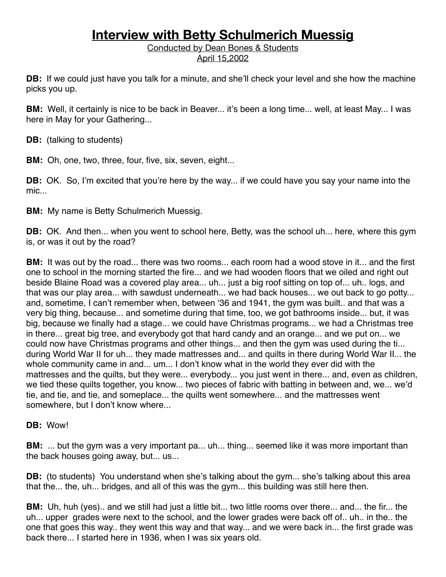Conducted by Dean Bones & Students April 15,2002

**DB:** If we could just have you talk for a minute, and she'll check your level and she how the machine picks you up.

**BM:** Well, it certainly is nice to be back in Beaver... it's been a long time... well, at least May... I was here in May for your Gathering...

**DB:** (talking to students)

**BM:** Oh, one, two, three, four, five, six, seven, eight...

**DB:** OK. So, I'm excited that you're here by the way... if we could have you say your name into the mic...

**BM:** My name is Betty Schulmerich Muessig.

**DB:** OK. And then... when you went to school here, Betty, was the school uh... here, where this gym is, or was it out by the road?

**BM:** It was out by the road... there was two rooms... each room had a wood stove in it... and the first one to school in the morning started the fire... and we had wooden floors that we oiled and right out beside Blaine Road was a covered play area... uh... just a big roof sitting on top of... uh.. logs, and that was our play area... with sawdust underneath... we had back houses... we out back to go potty... and, sometime, I can't remember when, between ʻ36 and 1941, the gym was built.. and that was a very big thing, because... and sometime during that time, too, we got bathrooms inside... but, it was big, because we finally had a stage... we could have Christmas programs... we had a Christmas tree in there... great big tree, and everybody got that hard candy and an orange... and we put on... we could now have Christmas programs and other things... and then the gym was used during the ti... during World War II for uh... they made mattresses and... and quilts in there during World War II... the whole community came in and... um... I don't know what in the world they ever did with the mattresses and the quilts, but they were... everybody... you just went in there... and, even as children, we tied these quilts together, you know... two pieces of fabric with batting in between and, we... we'd tie, and tie, and tie, and someplace... the quilts went somewhere... and the mattresses went somewhere, but I don't know where...

#### **DB:** Wow!

**BM:** ... but the gym was a very important pa... uh... thing... seemed like it was more important than the back houses going away, but... us...

**DB:** (to students) You understand when she's talking about the gym... she's talking about this area that the... the, uh... bridges, and all of this was the gym... this building was still here then.

**BM:** Uh, huh (yes).. and we still had just a little bit... two little rooms over there... and... the fir... the uh... upper grades were next to the school, and the lower grades were back off of.. uh.. in the.. the one that goes this way.. they went this way and that way... and we were back in... the first grade was back there... I started here in 1936, when I was six years old.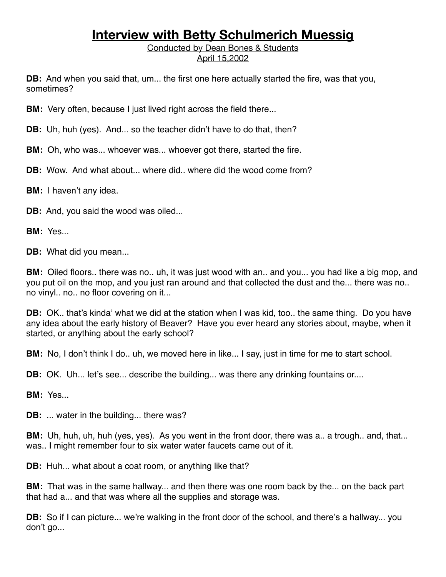#### Conducted by Dean Bones & Students April 15,2002

**DB:** And when you said that, um... the first one here actually started the fire, was that you, sometimes?

**BM:** Very often, because I just lived right across the field there...

**DB:** Uh, huh (yes). And... so the teacher didn't have to do that, then?

**BM:** Oh, who was... whoever was... whoever got there, started the fire.

**DB:** Wow. And what about... where did.. where did the wood come from?

**BM:** I haven't any idea.

**DB:** And, you said the wood was oiled...

**BM:** Yes...

**DB:** What did you mean...

**BM:** Oiled floors.. there was no.. uh, it was just wood with an.. and you... you had like a big mop, and you put oil on the mop, and you just ran around and that collected the dust and the... there was no.. no vinyl.. no.. no floor covering on it...

**DB:** OK.. that's kinda' what we did at the station when I was kid, too.. the same thing. Do you have any idea about the early history of Beaver? Have you ever heard any stories about, maybe, when it started, or anything about the early school?

**BM:** No, I don't think I do., uh, we moved here in like... I say, just in time for me to start school.

**DB:** OK. Uh... let's see... describe the building... was there any drinking fountains or....

**BM:** Yes...

**DB:** ... water in the building... there was?

**BM:** Uh, huh, uh, huh (yes, yes). As you went in the front door, there was a.. a trough.. and, that... was.. I might remember four to six water water faucets came out of it.

**DB:** Huh... what about a coat room, or anything like that?

**BM:** That was in the same hallway... and then there was one room back by the... on the back part that had a... and that was where all the supplies and storage was.

**DB:** So if I can picture... we're walking in the front door of the school, and there's a hallway... you don't go...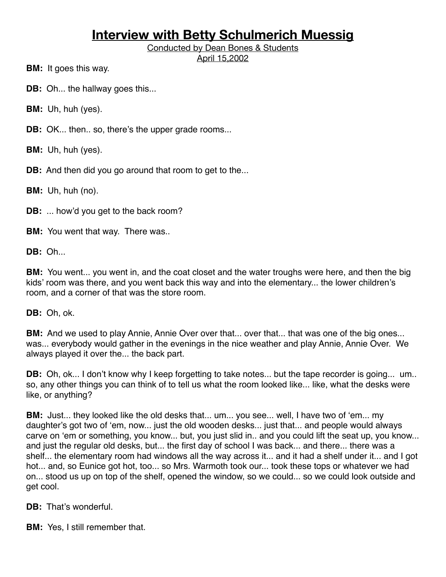Conducted by Dean Bones & Students April 15,2002

**BM:** It goes this way.

- **DB:** Oh... the hallway goes this...
- **BM:** Uh, huh (yes).
- **DB:** OK... then.. so, there's the upper grade rooms...
- **BM:** Uh, huh (yes).

**DB:** And then did you go around that room to get to the...

**BM:** Uh, huh (no).

**DB:** ... how'd you get to the back room?

**BM:** You went that way. There was..

**DB:** Oh...

**BM:** You went... you went in, and the coat closet and the water troughs were here, and then the big kids' room was there, and you went back this way and into the elementary... the lower children's room, and a corner of that was the store room.

**DB:** Oh, ok.

**BM:** And we used to play Annie, Annie Over over that... over that... that was one of the big ones... was... everybody would gather in the evenings in the nice weather and play Annie, Annie Over. We always played it over the... the back part.

**DB:** Oh, ok... I don't know why I keep forgetting to take notes... but the tape recorder is going... um.. so, any other things you can think of to tell us what the room looked like... like, what the desks were like, or anything?

**BM:** Just... they looked like the old desks that... um... you see... well, I have two of ʻem... my daughter's got two of ʻem, now... just the old wooden desks... just that... and people would always carve on ʻem or something, you know... but, you just slid in.. and you could lift the seat up, you know... and just the regular old desks, but... the first day of school I was back... and there... there was a shelf... the elementary room had windows all the way across it... and it had a shelf under it... and I got hot... and, so Eunice got hot, too... so Mrs. Warmoth took our... took these tops or whatever we had on... stood us up on top of the shelf, opened the window, so we could... so we could look outside and get cool.

**DB:** That's wonderful.

**BM:** Yes, I still remember that.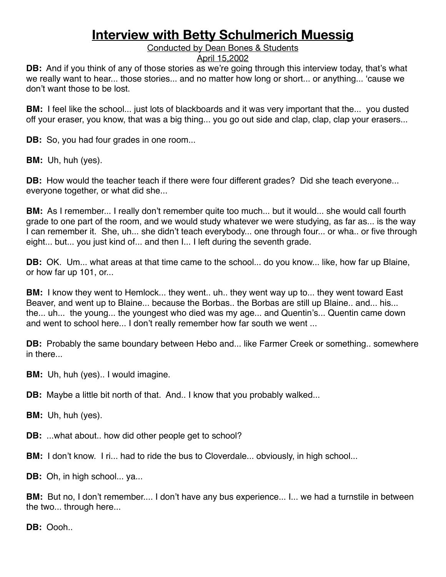#### Conducted by Dean Bones & Students

#### April 15,2002

**DB:** And if you think of any of those stories as we're going through this interview today, that's what we really want to hear... those stories... and no matter how long or short... or anything... ʻcause we don't want those to be lost.

**BM:** I feel like the school... just lots of blackboards and it was very important that the... you dusted off your eraser, you know, that was a big thing... you go out side and clap, clap, clap your erasers...

**DB:** So, you had four grades in one room...

**BM:** Uh, huh (yes).

**DB:** How would the teacher teach if there were four different grades? Did she teach everyone... everyone together, or what did she...

**BM:** As I remember... I really don't remember quite too much... but it would... she would call fourth grade to one part of the room, and we would study whatever we were studying, as far as... is the way I can remember it. She, uh... she didn't teach everybody... one through four... or wha.. or five through eight... but... you just kind of... and then I... I left during the seventh grade.

**DB:** OK. Um... what areas at that time came to the school... do you know... like, how far up Blaine, or how far up 101, or...

**BM:** I know they went to Hemlock... they went.. uh.. they went way up to... they went toward East Beaver, and went up to Blaine... because the Borbas.. the Borbas are still up Blaine.. and... his... the... uh... the young... the youngest who died was my age... and Quentin's... Quentin came down and went to school here... I don't really remember how far south we went ...

**DB:** Probably the same boundary between Hebo and... like Farmer Creek or something.. somewhere in there...

**BM:** Uh, huh (yes).. I would imagine.

**DB:** Maybe a little bit north of that. And.. I know that you probably walked...

**BM:** Uh, huh (yes).

**DB:** ...what about.. how did other people get to school?

**BM:** I don't know. I ri... had to ride the bus to Cloverdale... obviously, in high school...

**DB:** Oh, in high school... ya...

**BM:** But no, I don't remember.... I don't have any bus experience... I... we had a turnstile in between the two... through here...

**DB:** Oooh..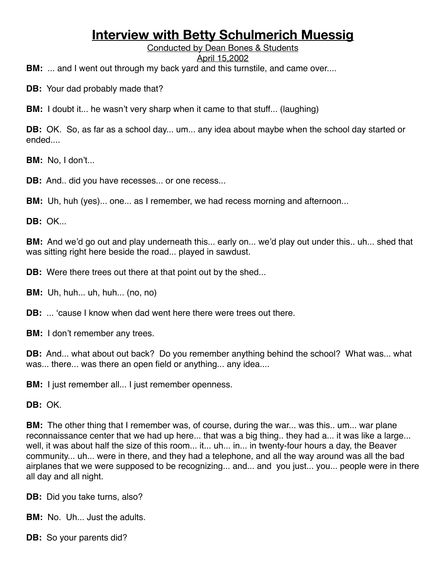Conducted by Dean Bones & Students April 15,2002

**BM:** ... and I went out through my back yard and this turnstile, and came over....

**DB:** Your dad probably made that?

**BM:** I doubt it... he wasn't very sharp when it came to that stuff... (laughing)

**DB:** OK. So, as far as a school day... um... any idea about maybe when the school day started or ended....

**BM:** No, I don't...

**DB:** And.. did you have recesses... or one recess...

**BM:** Uh, huh (yes)... one... as I remember, we had recess morning and afternoon...

**DB:** OK...

**BM:** And we'd go out and play underneath this... early on... we'd play out under this.. uh... shed that was sitting right here beside the road... played in sawdust.

**DB:** Were there trees out there at that point out by the shed...

**BM:** Uh, huh... uh, huh... (no, no)

**DB:** ... 'cause I know when dad went here there were trees out there.

**BM:** I don't remember any trees.

**DB:** And... what about out back? Do you remember anything behind the school? What was... what was... there... was there an open field or anything... any idea....

**BM:** I just remember all... I just remember openness.

**DB:** OK.

**BM:** The other thing that I remember was, of course, during the war... was this.. um... war plane reconnaissance center that we had up here... that was a big thing.. they had a... it was like a large... well, it was about half the size of this room... it... uh... in... in twenty-four hours a day, the Beaver community... uh... were in there, and they had a telephone, and all the way around was all the bad airplanes that we were supposed to be recognizing... and... and you just... you... people were in there all day and all night.

**DB:** Did you take turns, also?

**BM:** No. Uh... Just the adults.

**DB:** So your parents did?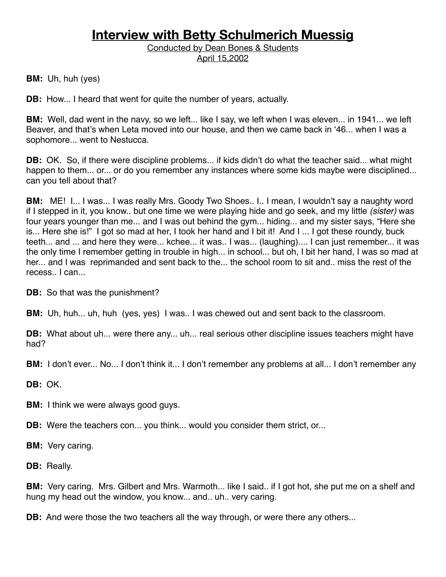Conducted by Dean Bones & Students April 15,2002

**BM:** Uh, huh (yes)

**DB:** How... I heard that went for quite the number of years, actually.

**BM:** Well, dad went in the navy, so we left... like I say, we left when I was eleven... in 1941... we left Beaver, and that's when Leta moved into our house, and then we came back in ʻ46... when I was a sophomore... went to Nestucca.

**DB:** OK. So, if there were discipline problems... if kids didn't do what the teacher said... what might happen to them... or... or do you remember any instances where some kids maybe were disciplined... can you tell about that?

**BM:** ME! I... I was... I was really Mrs. Goody Two Shoes.. I.. I mean, I wouldn't say a naughty word if I stepped in it, you know.. but one time we were playing hide and go seek, and my little *(sister)* was four years younger than me... and I was out behind the gym... hiding... and my sister says, "Here she is... Here she is!" I got so mad at her, I took her hand and I bit it! And I ... I got these roundy, buck teeth... and ... and here they were... kchee... it was.. I was... (laughing).... I can just remember... it was the only time I remember getting in trouble in high... in school... but oh, I bit her hand, I was so mad at her... and I was reprimanded and sent back to the... the school room to sit and.. miss the rest of the recess.. I can...

**DB:** So that was the punishment?

**BM:** Uh, huh... uh, huh (yes, yes) I was.. I was chewed out and sent back to the classroom.

**DB:** What about uh... were there any... uh... real serious other discipline issues teachers might have had?

**BM:** I don't ever... No... I don't think it... I don't remember any problems at all... I don't remember any

**DB:** OK.

**BM:** I think we were always good guys.

**DB:** Were the teachers con... you think... would you consider them strict, or...

**BM:** Very caring.

**DB:** Really.

**BM:** Very caring. Mrs. Gilbert and Mrs. Warmoth... like I said.. if I got hot, she put me on a shelf and hung my head out the window, you know... and.. uh.. very caring.

**DB:** And were those the two teachers all the way through, or were there any others...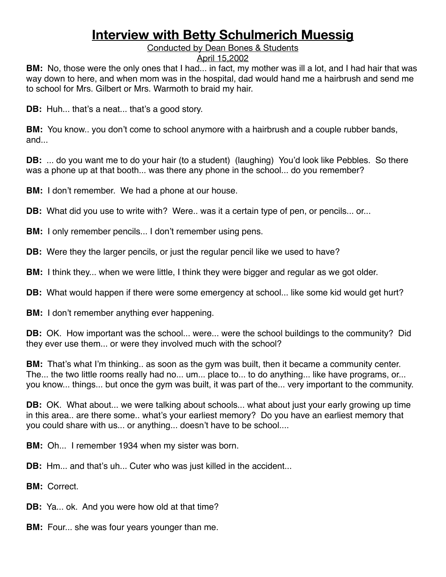#### Conducted by Dean Bones & Students

#### April 15,2002

**BM:** No, those were the only ones that I had... in fact, my mother was ill a lot, and I had hair that was way down to here, and when mom was in the hospital, dad would hand me a hairbrush and send me to school for Mrs. Gilbert or Mrs. Warmoth to braid my hair.

**DB:** Huh... that's a neat... that's a good story.

**BM:** You know.. you don't come to school anymore with a hairbrush and a couple rubber bands, and...

**DB:** ... do you want me to do your hair (to a student) (laughing) You'd look like Pebbles. So there was a phone up at that booth... was there any phone in the school... do you remember?

**BM:** I don't remember. We had a phone at our house.

**DB:** What did you use to write with? Were.. was it a certain type of pen, or pencils... or...

**BM:** I only remember pencils... I don't remember using pens.

**DB:** Were they the larger pencils, or just the regular pencil like we used to have?

**BM:** I think they... when we were little, I think they were bigger and regular as we got older.

**DB:** What would happen if there were some emergency at school... like some kid would get hurt?

**BM:** I don't remember anything ever happening.

**DB:** OK. How important was the school... were... were the school buildings to the community? Did they ever use them... or were they involved much with the school?

**BM:** That's what I'm thinking.. as soon as the gym was built, then it became a community center. The... the two little rooms really had no... um... place to... to do anything... like have programs, or... you know... things... but once the gym was built, it was part of the... very important to the community.

**DB:** OK. What about... we were talking about schools... what about just your early growing up time in this area.. are there some.. what's your earliest memory? Do you have an earliest memory that you could share with us... or anything... doesn't have to be school....

**BM:** Oh... I remember 1934 when my sister was born.

**DB:** Hm... and that's uh... Cuter who was just killed in the accident...

**BM:** Correct.

**DB:** Ya... ok. And you were how old at that time?

**BM:** Four... she was four years younger than me.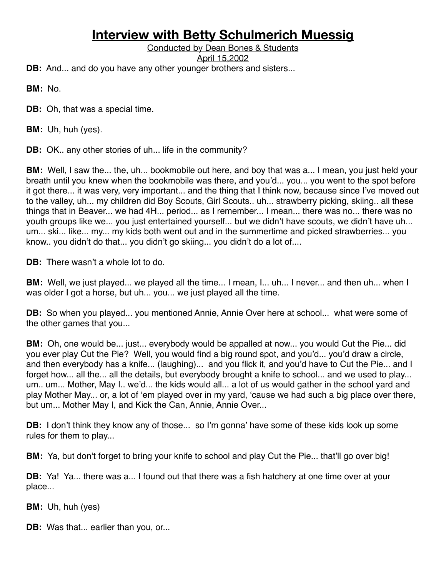Conducted by Dean Bones & Students

April 15,2002

**DB:** And... and do you have any other younger brothers and sisters...

**BM:** No.

**DB:** Oh, that was a special time.

**BM:** Uh, huh (yes).

**DB:** OK.. any other stories of uh... life in the community?

**BM:** Well, I saw the... the, uh... bookmobile out here, and boy that was a... I mean, you just held your breath until you knew when the bookmobile was there, and you'd... you... you went to the spot before it got there... it was very, very important... and the thing that I think now, because since I've moved out to the valley, uh... my children did Boy Scouts, Girl Scouts.. uh... strawberry picking, skiing.. all these things that in Beaver... we had 4H... period... as I remember... I mean... there was no... there was no youth groups like we... you just entertained yourself... but we didn't have scouts, we didn't have uh... um... ski... like... my... my kids both went out and in the summertime and picked strawberries... you know.. you didn't do that... you didn't go skiing... you didn't do a lot of....

**DB:** There wasn't a whole lot to do.

**BM:** Well, we just played... we played all the time... I mean, I... uh... I never... and then uh... when I was older I got a horse, but uh... you... we just played all the time.

**DB:** So when you played... you mentioned Annie, Annie Over here at school... what were some of the other games that you...

**BM:** Oh, one would be... just... everybody would be appalled at now... you would Cut the Pie... did you ever play Cut the Pie? Well, you would find a big round spot, and you'd... you'd draw a circle, and then everybody has a knife... (laughing)... and you flick it, and you'd have to Cut the Pie... and I forget how... all the... all the details, but everybody brought a knife to school... and we used to play... um.. um... Mother, May I.. we'd... the kids would all... a lot of us would gather in the school yard and play Mother May... or, a lot of ʻem played over in my yard, ʻcause we had such a big place over there, but um... Mother May I, and Kick the Can, Annie, Annie Over...

**DB:** I don't think they know any of those... so I'm gonna' have some of these kids look up some rules for them to play...

**BM:** Ya, but don't forget to bring your knife to school and play Cut the Pie... that'll go over big!

**DB:** Ya! Ya... there was a... I found out that there was a fish hatchery at one time over at your place...

**BM:** Uh, huh (yes)

**DB:** Was that... earlier than you, or...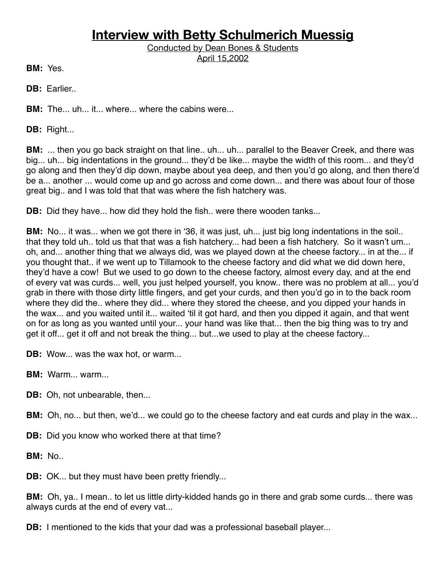Conducted by Dean Bones & Students April 15,2002

**BM:** Yes.

**DB:** Earlier..

**BM:** The... uh... it... where... where the cabins were...

**DB:** Right...

**BM:** ... then you go back straight on that line.. uh... uh... parallel to the Beaver Creek, and there was big... uh... big indentations in the ground... they'd be like... maybe the width of this room... and they'd go along and then they'd dip down, maybe about yea deep, and then you'd go along, and then there'd be a... another ... would come up and go across and come down... and there was about four of those great big.. and I was told that that was where the fish hatchery was.

**DB:** Did they have... how did they hold the fish.. were there wooden tanks...

**BM:** No... it was... when we got there in '36, it was just, uh... just big long indentations in the soil.. that they told uh.. told us that that was a fish hatchery... had been a fish hatchery. So it wasn't um... oh, and... another thing that we always did, was we played down at the cheese factory... in at the... if you thought that.. if we went up to Tillamook to the cheese factory and did what we did down here, they'd have a cow! But we used to go down to the cheese factory, almost every day, and at the end of every vat was curds... well, you just helped yourself, you know.. there was no problem at all... you'd grab in there with those dirty little fingers, and get your curds, and then you'd go in to the back room where they did the.. where they did... where they stored the cheese, and you dipped your hands in the wax... and you waited until it... waited ʻtil it got hard, and then you dipped it again, and that went on for as long as you wanted until your... your hand was like that... then the big thing was to try and get it off... get it off and not break the thing... but...we used to play at the cheese factory...

**DB:** Wow... was the wax hot, or warm...

**BM:** Warm... warm...

**DB:** Oh, not unbearable, then...

**BM:** Oh, no... but then, we'd... we could go to the cheese factory and eat curds and play in the wax...

**DB:** Did you know who worked there at that time?

**BM:** No..

**DB:** OK... but they must have been pretty friendly...

**BM:** Oh, ya.. I mean.. to let us little dirty-kidded hands go in there and grab some curds... there was always curds at the end of every vat...

**DB:** I mentioned to the kids that your dad was a professional baseball player...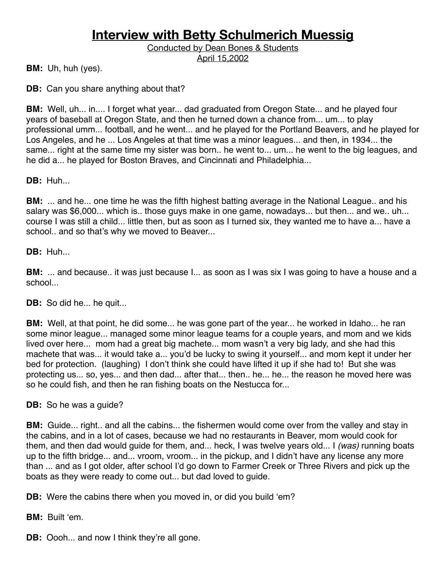Conducted by Dean Bones & Students April 15,2002

**BM:** Uh, huh (yes).

**DB:** Can you share anything about that?

**BM:** Well, uh... in.... I forget what year... dad graduated from Oregon State... and he played four years of baseball at Oregon State, and then he turned down a chance from... um... to play professional umm... football, and he went... and he played for the Portland Beavers, and he played for Los Angeles, and he ... Los Angeles at that time was a minor leagues... and then, in 1934... the same... right at the same time my sister was born.. he went to... um... he went to the big leagues, and he did a... he played for Boston Braves, and Cincinnati and Philadelphia...

**DB:** Huh...

**BM:** ... and he... one time he was the fifth highest batting average in the National League.. and his salary was \$6,000... which is.. those guys make in one game, nowadays... but then... and we.. uh... course I was still a child... little then, but as soon as I turned six, they wanted me to have a... have a school.. and so that's why we moved to Beaver...

**DB:** Huh...

**BM:** ... and because.. it was just because I... as soon as I was six I was going to have a house and a school...

**DB:** So did he... he quit...

**BM:** Well, at that point, he did some... he was gone part of the year... he worked in Idaho... he ran some minor league... managed some minor league teams for a couple years, and mom and we kids lived over here... mom had a great big machete... mom wasn't a very big lady, and she had this machete that was... it would take a... you'd be lucky to swing it yourself... and mom kept it under her bed for protection. (laughing) I don't think she could have lifted it up if she had to! But she was protecting us... so, yes... and then dad... after that... then.. he... he... the reason he moved here was so he could fish, and then he ran fishing boats on the Nestucca for...

**DB:** So he was a guide?

**BM:** Guide... right.. and all the cabins... the fishermen would come over from the valley and stay in the cabins, and in a lot of cases, because we had no restaurants in Beaver, mom would cook for them, and then dad would guide for them, and... heck, I was twelve years old... I *(was)* running boats up to the fifth bridge... and... vroom, vroom... in the pickup, and I didn't have any license any more than ... and as I got older, after school I'd go down to Farmer Creek or Three Rivers and pick up the boats as they were ready to come out... but dad loved to guide.

**DB:** Were the cabins there when you moved in, or did you build ʻem?

**BM:** Built ʻem.

**DB:** Oooh... and now I think they're all gone.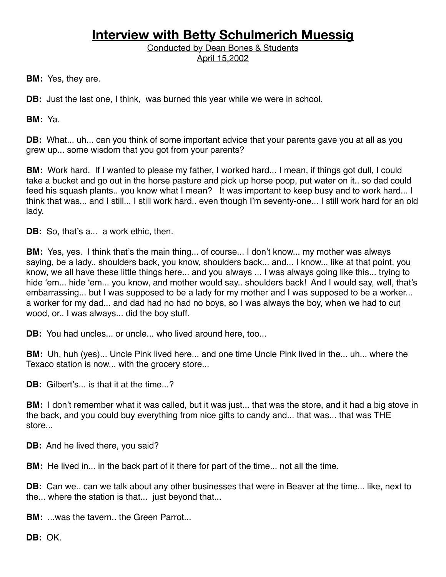Conducted by Dean Bones & Students April 15,2002

**BM:** Yes, they are.

**DB:** Just the last one, I think, was burned this year while we were in school.

**BM:** Ya.

**DB:** What... uh... can you think of some important advice that your parents gave you at all as you grew up... some wisdom that you got from your parents?

**BM:** Work hard. If I wanted to please my father, I worked hard... I mean, if things got dull, I could take a bucket and go out in the horse pasture and pick up horse poop, put water on it.. so dad could feed his squash plants.. you know what I mean? It was important to keep busy and to work hard... I think that was... and I still... I still work hard.. even though I'm seventy-one... I still work hard for an old lady.

**DB:** So, that's a... a work ethic, then.

**BM:** Yes, yes. I think that's the main thing... of course... I don't know... my mother was always saying, be a lady.. shoulders back, you know, shoulders back... and... I know... like at that point, you know, we all have these little things here... and you always ... I was always going like this... trying to hide 'em... hide 'em... you know, and mother would say.. shoulders back! And I would say, well, that's embarrassing... but I was supposed to be a lady for my mother and I was supposed to be a worker... a worker for my dad... and dad had no had no boys, so I was always the boy, when we had to cut wood, or.. I was always... did the boy stuff.

**DB:** You had uncles... or uncle... who lived around here, too...

**BM:** Uh, huh (yes)... Uncle Pink lived here... and one time Uncle Pink lived in the... uh... where the Texaco station is now... with the grocery store...

**DB:** Gilbert's... is that it at the time...?

**BM:** I don't remember what it was called, but it was just... that was the store, and it had a big stove in the back, and you could buy everything from nice gifts to candy and... that was... that was THE store...

**DB:** And he lived there, you said?

**BM:** He lived in... in the back part of it there for part of the time... not all the time.

**DB:** Can we.. can we talk about any other businesses that were in Beaver at the time... like, next to the... where the station is that... just beyond that...

**BM:** ...was the tavern.. the Green Parrot...

**DB:** OK.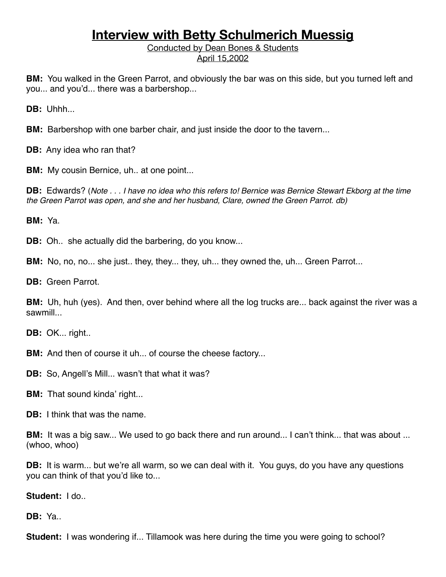Conducted by Dean Bones & Students April 15,2002

**BM:** You walked in the Green Parrot, and obviously the bar was on this side, but you turned left and you... and you'd... there was a barbershop...

**DB:** Uhhh...

**BM:** Barbershop with one barber chair, and just inside the door to the tavern...

**DB:** Any idea who ran that?

**BM:** My cousin Bernice, uh.. at one point...

**DB:** Edwards? (*Note . . . I have no idea who this refers to! Bernice was Bernice Stewart Ekborg at the time the Green Parrot was open, and she and her husband, Clare, owned the Green Parrot. db)*

**BM:** Ya.

**DB:** Oh.. she actually did the barbering, do you know...

**BM:** No, no, no... she just.. they, they... they, uh... they owned the, uh... Green Parrot...

**DB:** Green Parrot.

**BM:** Uh, huh (yes). And then, over behind where all the log trucks are... back against the river was a sawmill

**DB: OK... right...** 

**BM:** And then of course it uh... of course the cheese factory...

**DB:** So, Angell's Mill... wasn't that what it was?

**BM:** That sound kinda' right...

**DB:** I think that was the name.

**BM:** It was a big saw... We used to go back there and run around... I can't think... that was about ... (whoo, whoo)

**DB:** It is warm... but we're all warm, so we can deal with it. You guys, do you have any questions you can think of that you'd like to...

**Student:** I do..

**DB:** Ya..

**Student:** I was wondering if... Tillamook was here during the time you were going to school?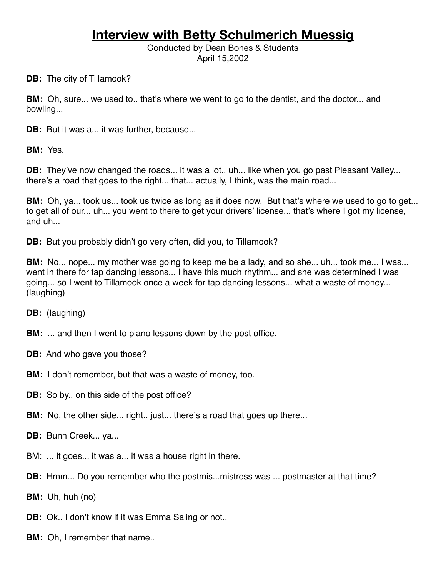Conducted by Dean Bones & Students April 15,2002

**DB:** The city of Tillamook?

**BM:** Oh, sure... we used to.. that's where we went to go to the dentist, and the doctor... and bowling...

**DB:** But it was a... it was further, because...

**BM:** Yes.

**DB:** They've now changed the roads... it was a lot.. uh... like when you go past Pleasant Valley... there's a road that goes to the right... that... actually, I think, was the main road...

**BM:** Oh, ya... took us... took us twice as long as it does now. But that's where we used to go to get... to get all of our... uh... you went to there to get your drivers' license... that's where I got my license, and uh...

**DB:** But you probably didn't go very often, did you, to Tillamook?

**BM:** No... nope... my mother was going to keep me be a lady, and so she... uh... took me... I was... went in there for tap dancing lessons... I have this much rhythm... and she was determined I was going... so I went to Tillamook once a week for tap dancing lessons... what a waste of money... (laughing)

**DB:** (laughing)

**BM:** ... and then I went to piano lessons down by the post office.

**DB:** And who gave you those?

**BM:** I don't remember, but that was a waste of money, too.

**DB:** So by.. on this side of the post office?

**BM:** No, the other side... right.. just... there's a road that goes up there...

**DB:** Bunn Creek... ya...

BM: ... it goes... it was a... it was a house right in there.

**DB:** Hmm... Do you remember who the postmis...mistress was ... postmaster at that time?

**BM:** Uh, huh (no)

**DB:** Ok.. I don't know if it was Emma Saling or not..

**BM:** Oh, I remember that name...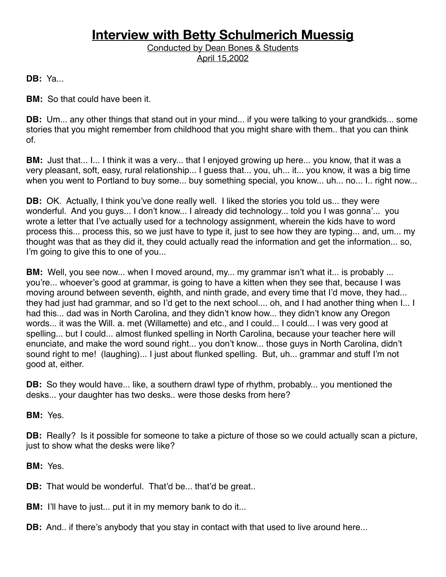Conducted by Dean Bones & Students April 15,2002

**DB:** Ya...

**BM:** So that could have been it.

**DB:** Um... any other things that stand out in your mind... if you were talking to your grandkids... some stories that you might remember from childhood that you might share with them.. that you can think of.

**BM:** Just that... I... I think it was a very... that I enjoyed growing up here... you know, that it was a very pleasant, soft, easy, rural relationship... I guess that... you, uh... it... you know, it was a big time when you went to Portland to buy some... buy something special, you know... uh... no... I.. right now...

**DB:** OK. Actually, I think you've done really well. I liked the stories you told us... they were wonderful. And you guys... I don't know... I already did technology... told you I was gonna'... you wrote a letter that I've actually used for a technology assignment, wherein the kids have to word process this... process this, so we just have to type it, just to see how they are typing... and, um... my thought was that as they did it, they could actually read the information and get the information... so, I'm going to give this to one of you...

**BM:** Well, you see now... when I moved around, my... my grammar isn't what it... is probably ... you're... whoever's good at grammar, is going to have a kitten when they see that, because I was moving around between seventh, eighth, and ninth grade, and every time that I'd move, they had... they had just had grammar, and so I'd get to the next school.... oh, and I had another thing when I... I had this... dad was in North Carolina, and they didn't know how... they didn't know any Oregon words... it was the Will. a. met (Willamette) and etc., and I could... I could... I was very good at spelling... but I could... almost flunked spelling in North Carolina, because your teacher here will enunciate, and make the word sound right... you don't know... those guys in North Carolina, didn't sound right to me! (laughing)... I just about flunked spelling. But, uh... grammar and stuff I'm not good at, either.

**DB:** So they would have... like, a southern drawl type of rhythm, probably... you mentioned the desks... your daughter has two desks.. were those desks from here?

**BM:** Yes.

**DB:** Really? Is it possible for someone to take a picture of those so we could actually scan a picture, just to show what the desks were like?

**BM:** Yes.

**DB:** That would be wonderful. That'd be... that'd be great..

**BM:** I'll have to just... put it in my memory bank to do it...

**DB:** And.. if there's anybody that you stay in contact with that used to live around here...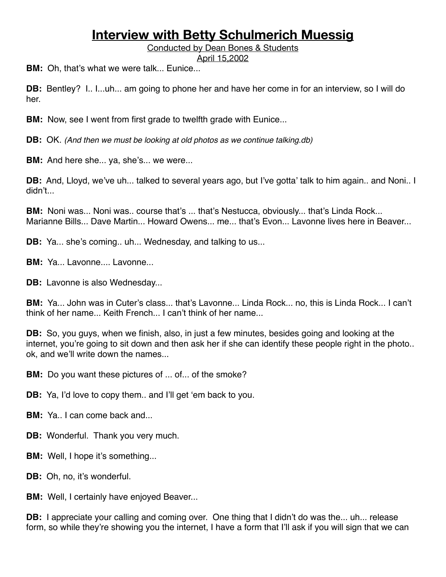Conducted by Dean Bones & Students

April 15,2002

**BM:** Oh, that's what we were talk... Eunice...

**DB:** Bentley? I.. I...uh... am going to phone her and have her come in for an interview, so I will do her.

**BM:** Now, see I went from first grade to twelfth grade with Eunice...

**DB:** OK. *(And then we must be looking at old photos as we continue talking.db)*

**BM:** And here she... ya, she's... we were...

**DB:** And, Lloyd, we've uh... talked to several years ago, but I've gotta' talk to him again.. and Noni.. I didn't...

**BM:** Noni was... Noni was.. course that's ... that's Nestucca, obviously... that's Linda Rock... Marianne Bills... Dave Martin... Howard Owens... me... that's Evon... Lavonne lives here in Beaver...

**DB:** Ya... she's coming.. uh... Wednesday, and talking to us...

**BM:** Ya. Lavonne. Lavonne.

**DB:** Lavonne is also Wednesday...

**BM:** Ya... John was in Cuter's class... that's Lavonne... Linda Rock... no, this is Linda Rock... I can't think of her name... Keith French... I can't think of her name...

**DB:** So, you guys, when we finish, also, in just a few minutes, besides going and looking at the internet, you're going to sit down and then ask her if she can identify these people right in the photo.. ok, and we'll write down the names...

**BM:** Do you want these pictures of ... of the smoke?

**DB:** Ya, I'd love to copy them.. and I'll get ʻem back to you.

**BM:** Ya. I can come back and...

**DB:** Wonderful. Thank you very much.

**BM:** Well, I hope it's something...

**DB:** Oh, no, it's wonderful.

**BM:** Well, I certainly have enjoyed Beaver...

**DB:** I appreciate your calling and coming over. One thing that I didn't do was the... uh... release form, so while they're showing you the internet, I have a form that I'll ask if you will sign that we can